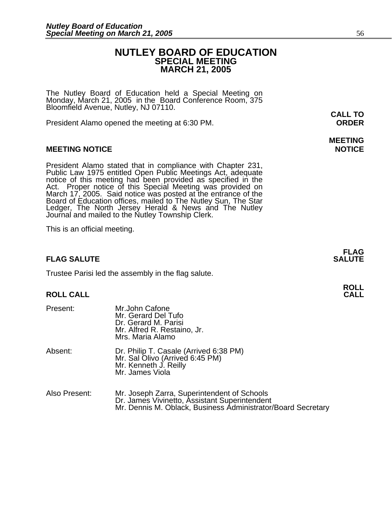### **NUTLEY BOARD OF EDUCATION SPECIAL MEETING MARCH 21, 2005**

The Nutley Board of Education held a Special Meeting on Monday, March 21, 2005 in the Board Conference Room, 375 Bloomfield Avenue, Nutley, NJ 07110.

President Alamo opened the meeting at 6:30 PM. **ORDER**

### **MEETING NOTICE NOTICE**

President Alamo stated that in compliance with Chapter 231,<br>Public Law 1975 entitled Open Public Meetings Act, adequate<br>notice of this meeting had been provided as specified in the<br>Act. Proper notice of this Special Meetin Ledger, The North Jersey Herald & News and The Nutley Journal and mailed to the Nutley Township Clerk.

This is an official meeting.

### **FLAG SALUTE** SALUTE

Trustee Parisi led the assembly in the flag salute.

### **ROLL CALL**

| Present:      | Mr.John Cafone<br>Mr. Gerard Del Tufo<br>Dr. Gerard M. Parisi<br>Mr. Alfred R. Restaino, Jr.<br>Mrs. Maria Alamo                                             |
|---------------|--------------------------------------------------------------------------------------------------------------------------------------------------------------|
| Absent:       | Dr. Philip T. Casale (Arrived 6:38 PM)<br>Mr. Sal Olivo (Arrived 6:45 PM)<br>Mr. Kenneth J. Reilly<br>Mr. James Viola                                        |
| Also Present: | Mr. Joseph Zarra, Superintendent of Schools<br>Dr. James Vivinetto, Assistant Superintendent<br>Mr. Dennis M. Oblack, Business Administrator/Board Secretary |

**CALL TO** 

# **MEETING**

**FLAG**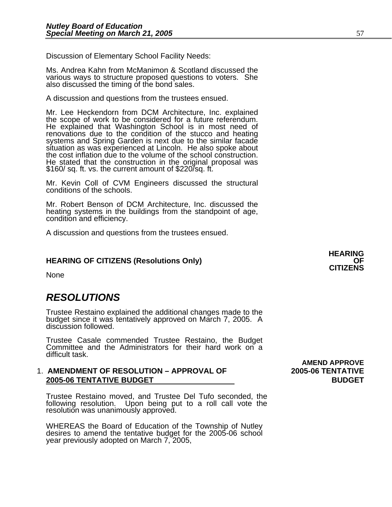Discussion of Elementary School Facility Needs:

Ms. Andrea Kahn from McManimon & Scotland discussed the various ways to structure proposed questions to voters. She also discussed the timing of the bond sales.

A discussion and questions from the trustees ensued.

Mr. Lee Heckendorn from DCM Architecture, Inc. explained the scope of work to be considered for a future referendum. He explained that Washington School is in most need of renovations due to the condition of the stucco and heating systems and Spring Garden is next due to the similar facade situation as was experienced at Lincoln. He also spoke about the cost inflation due to the volume of the school construction. He stated that the construction in the original proposal was \$160/ sq. ft. vs. the current amount of \$220/sq. ft.

Mr. Kevin Coll of CVM Engineers discussed the structural conditions of the schools.

Mr. Robert Benson of DCM Architecture, Inc. discussed the heating systems in the buildings from the standpoint of age, condition and efficiency.

A discussion and questions from the trustees ensued.

## **HEARING OF CITIZENS (Resolutions Only) OF CITIZENS**

None

### *RESOLUTIONS*

Trustee Restaino explained the additional changes made to the budget since it was tentatively approved on March 7, 2005. A discussion followed.

Trustee Casale commended Trustee Restaino, the Budget Committee and the Administrators for their hard work on a difficult task.

#### 1. **AMENDMENT OF RESOLUTION – APPROVAL OF 2005-06 TENTATIVE 2005-06 TENTATIVE BUDGET BUDGET**

Trustee Restaino moved, and Trustee Del Tufo seconded, the following resolution. Upon being put to a roll call vote the resolution was unanimously approved.

WHEREAS the Board of Education of the Township of Nutley desires to amend the tentative budget for the 2005-06 school year previously adopted on March 7, 2005,

 **AMEND APPROVE**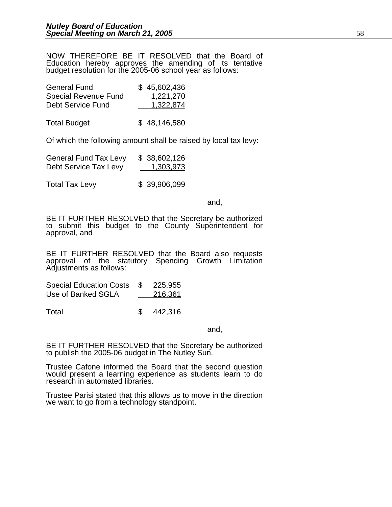NOW THEREFORE BE IT RESOLVED that the Board of Education hereby approves the amending of its tentative budget resolution for the 2005-06 school year as follows:

| <b>General Fund</b>         | \$45,602,436 |
|-----------------------------|--------------|
| <b>Special Revenue Fund</b> | 1,221,270    |
| <b>Debt Service Fund</b>    | 1,322,874    |
|                             |              |
| <b>Total Budget</b>         | \$48,146,580 |

Of which the following amount shall be raised by local tax levy:

| <b>General Fund Tax Levy</b> | \$38,602,126 |
|------------------------------|--------------|
| Debt Service Tax Levy        | 1,303,973    |

Total Tax Levy \$ 39,906,099

and,

BE IT FURTHER RESOLVED that the Secretary be authorized to submit this budget to the County Superintendent for approval, and

BE IT FURTHER RESOLVED that the Board also requests approval of the statutory Spending Growth Limitation Adjustments as follows:

Special Education Costs \$ 225,955 Use of Banked SGLA 216,361

Total **\$** 442,316

and, the contract of the contract of the contract of the contract of the contract of the contract of the contract of the contract of the contract of the contract of the contract of the contract of the contract of the contr

BE IT FURTHER RESOLVED that the Secretary be authorized to publish the 2005-06 budget in The Nutley Sun.

Trustee Cafone informed the Board that the second question would present a learning experience as students learn to do research in automated libraries.

Trustee Parisi stated that this allows us to move in the direction we want to go from a technology standpoint.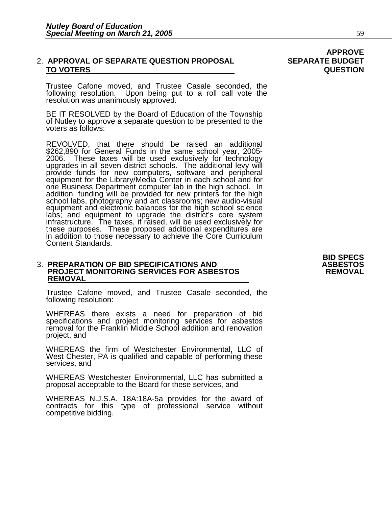### 2. **APPROVAL OF SEPARATE QUESTION PROPOSAL SEPARATE BUDGET TO VOTERS QUESTION**

Trustee Cafone moved, and Trustee Casale seconded, the following resolution. Upon being put to a roll call vote the resolution was unanimously approved.

BE IT RESOLVED by the Board of Education of the Township of Nutley to approve a separate question to be presented to the voters as follows:

REVOLVED, that there should be raised an additional \$262,890 for General Funds in the same school year, 2005- 2006. These taxes will be used exclusively for technology upgrades in all seven district schools. The additional levy will<br>provide funds for new computers, software and peripheral<br>equipment for the Library/Media Center in each school and for one Business Department computer lab in the high school. In addition, funding will be provided for new printers for the high school labs, photography and art classrooms; new audio-visual labs; and equipment to upgrade the district's core system<br>infrastructure. The taxes, if raised, will be used exclusively for<br>these purposes. These proposed additional expenditures are<br>in addition to those necessary to achi Content Standards.

### 3. **PREPARATION OF BID SPECIFICATIONS AND ASBESTOS PROJECT MONITORING SERVICES FOR ASBESTOS REMOVAL REMOVAL**

Trustee Cafone moved, and Trustee Casale seconded, the following resolution:

WHEREAS there exists a need for preparation of bid<br>specifications and project monitoring services for asbestos removal for the Franklin Middle School addition and renovation project, and

WHEREAS the firm of Westchester Environmental, LLC of West Chester, PA is qualified and capable of performing these services, and

WHEREAS Westchester Environmental, LLC has submitted a proposal acceptable to the Board for these services, and

WHEREAS N.J.S.A. 18A:18A-5a provides for the award of contracts for this type of professional service without competitive bidding.

**BID SPECS**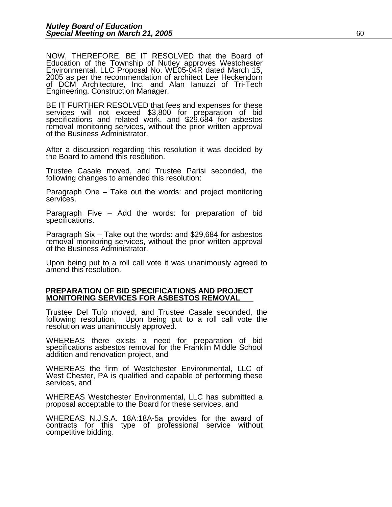NOW, THEREFORE, BE IT RESOLVED that the Board of Education of the Township of Nutley approves Westchester Environmental, LLC Proposal No. WE05-04R dated March 15, 2005 as per the recommendation of architect Lee Heckendorn of DCM Architecture, Inc. and Alan Ianuzzi of Tri-Tech Engineering, Construction Manager.

BE IT FURTHER RESOLVED that fees and expenses for these<br>services will not exceed \$3,800 for preparation of bid specifications and related work, and \$29,684 for asbestos removal monitoring services, without the prior written approval of the Business Administrator.

After a discussion regarding this resolution it was decided by the Board to amend this resolution.

Trustee Casale moved, and Trustee Parisi seconded, the following changes to amended this resolution:

Paragraph One – Take out the words: and project monitoring services.

Paragraph Five – Add the words: for preparation of bid<br>specifications.

Paragraph Six – Take out the words: and \$29,684 for asbestos removal monitoring services, without the prior written approval of the Business Administrator.

Upon being put to a roll call vote it was unanimously agreed to amend this resolution.

#### **PREPARATION OF BID SPECIFICATIONS AND PROJECT MONITORING SERVICES FOR ASBESTOS REMOVAL**

Trustee Del Tufo moved, and Trustee Casale seconded, the following resolution. Upon being put to a roll call vote the resolution was unanimously approved.

WHEREAS there exists a need for preparation of bid specifications asbestos removal for the Franklin Middle School addition and renovation project, and

WHEREAS the firm of Westchester Environmental, LLC of West Chester, PA is qualified and capable of performing these services, and

WHEREAS Westchester Environmental, LLC has submitted a proposal acceptable to the Board for these services, and

WHEREAS N.J.S.A. 18A:18A-5a provides for the award of contracts for this type of professional service without competitive bidding.